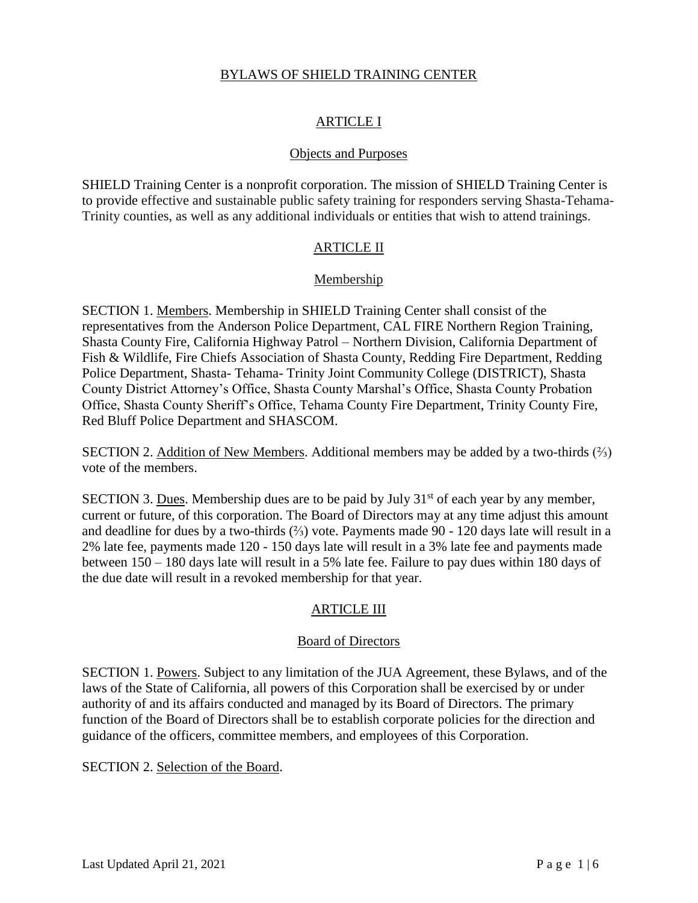#### BYLAWS OF SHIELD TRAINING CENTER

# ARTICLE I

#### Objects and Purposes

SHIELD Training Center is a nonprofit corporation. The mission of SHIELD Training Center is to provide effective and sustainable public safety training for responders serving Shasta-Tehama-Trinity counties, as well as any additional individuals or entities that wish to attend trainings.

#### ARTICLE II

#### Membership

SECTION 1. Members. Membership in SHIELD Training Center shall consist of the representatives from the Anderson Police Department, CAL FIRE Northern Region Training, Shasta County Fire, California Highway Patrol – Northern Division, California Department of Fish & Wildlife, Fire Chiefs Association of Shasta County, Redding Fire Department, Redding Police Department, Shasta- Tehama- Trinity Joint Community College (DISTRICT), Shasta County District Attorney's Office, Shasta County Marshal's Office, Shasta County Probation Office, Shasta County Sheriff's Office, Tehama County Fire Department, Trinity County Fire, Red Bluff Police Department and SHASCOM.

SECTION 2. Addition of New Members. Additional members may be added by a two-thirds  $(\frac{2}{3})$ vote of the members.

SECTION 3. Dues. Membership dues are to be paid by July  $31<sup>st</sup>$  of each year by any member, current or future, of this corporation. The Board of Directors may at any time adjust this amount and deadline for dues by a two-thirds (⅔) vote. Payments made 90 - 120 days late will result in a 2% late fee, payments made 120 - 150 days late will result in a 3% late fee and payments made between 150 – 180 days late will result in a 5% late fee. Failure to pay dues within 180 days of the due date will result in a revoked membership for that year.

## ARTICLE III

#### Board of Directors

SECTION 1. Powers. Subject to any limitation of the JUA Agreement, these Bylaws, and of the laws of the State of California, all powers of this Corporation shall be exercised by or under authority of and its affairs conducted and managed by its Board of Directors. The primary function of the Board of Directors shall be to establish corporate policies for the direction and guidance of the officers, committee members, and employees of this Corporation.

SECTION 2. Selection of the Board.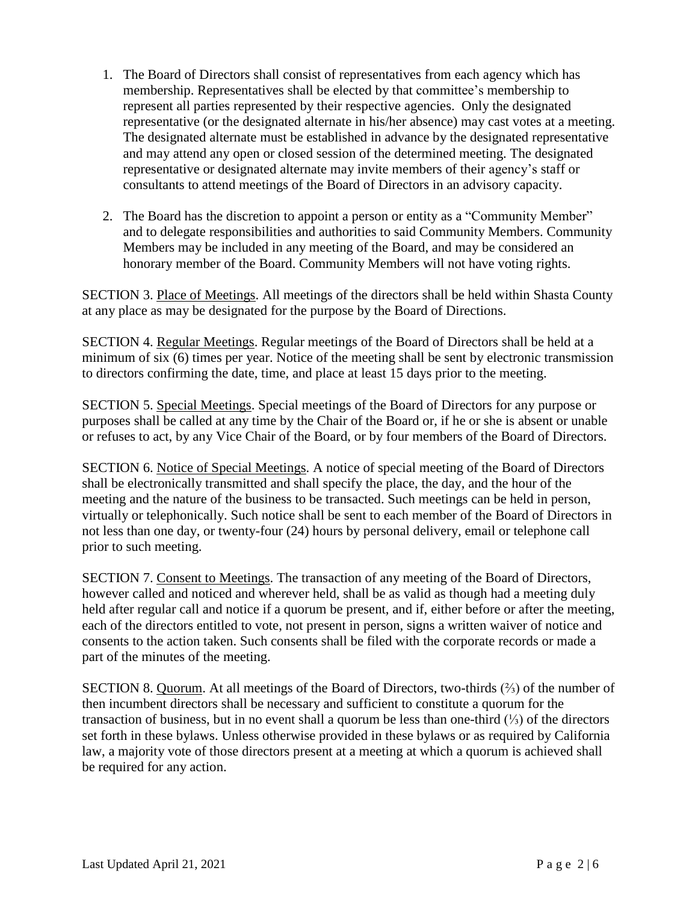- 1. The Board of Directors shall consist of representatives from each agency which has membership. Representatives shall be elected by that committee's membership to represent all parties represented by their respective agencies. Only the designated representative (or the designated alternate in his/her absence) may cast votes at a meeting. The designated alternate must be established in advance by the designated representative and may attend any open or closed session of the determined meeting. The designated representative or designated alternate may invite members of their agency's staff or consultants to attend meetings of the Board of Directors in an advisory capacity.
- 2. The Board has the discretion to appoint a person or entity as a "Community Member" and to delegate responsibilities and authorities to said Community Members. Community Members may be included in any meeting of the Board, and may be considered an honorary member of the Board. Community Members will not have voting rights.

SECTION 3. Place of Meetings. All meetings of the directors shall be held within Shasta County at any place as may be designated for the purpose by the Board of Directions.

SECTION 4. Regular Meetings. Regular meetings of the Board of Directors shall be held at a minimum of six (6) times per year. Notice of the meeting shall be sent by electronic transmission to directors confirming the date, time, and place at least 15 days prior to the meeting.

SECTION 5. Special Meetings. Special meetings of the Board of Directors for any purpose or purposes shall be called at any time by the Chair of the Board or, if he or she is absent or unable or refuses to act, by any Vice Chair of the Board, or by four members of the Board of Directors.

SECTION 6. Notice of Special Meetings. A notice of special meeting of the Board of Directors shall be electronically transmitted and shall specify the place, the day, and the hour of the meeting and the nature of the business to be transacted. Such meetings can be held in person, virtually or telephonically. Such notice shall be sent to each member of the Board of Directors in not less than one day, or twenty-four (24) hours by personal delivery, email or telephone call prior to such meeting.

SECTION 7. Consent to Meetings. The transaction of any meeting of the Board of Directors, however called and noticed and wherever held, shall be as valid as though had a meeting duly held after regular call and notice if a quorum be present, and if, either before or after the meeting, each of the directors entitled to vote, not present in person, signs a written waiver of notice and consents to the action taken. Such consents shall be filed with the corporate records or made a part of the minutes of the meeting.

SECTION 8. Quorum. At all meetings of the Board of Directors, two-thirds  $(\frac{2}{3})$  of the number of then incumbent directors shall be necessary and sufficient to constitute a quorum for the transaction of business, but in no event shall a quorum be less than one-third (⅓) of the directors set forth in these bylaws. Unless otherwise provided in these bylaws or as required by California law, a majority vote of those directors present at a meeting at which a quorum is achieved shall be required for any action.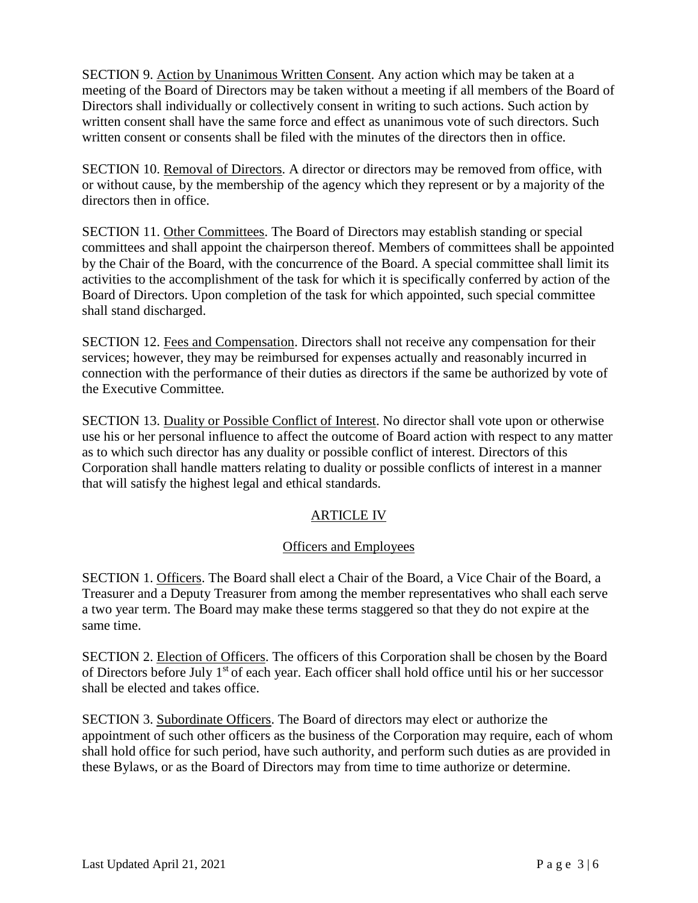SECTION 9. Action by Unanimous Written Consent. Any action which may be taken at a meeting of the Board of Directors may be taken without a meeting if all members of the Board of Directors shall individually or collectively consent in writing to such actions. Such action by written consent shall have the same force and effect as unanimous vote of such directors. Such written consent or consents shall be filed with the minutes of the directors then in office.

SECTION 10. Removal of Directors. A director or directors may be removed from office, with or without cause, by the membership of the agency which they represent or by a majority of the directors then in office.

SECTION 11. Other Committees. The Board of Directors may establish standing or special committees and shall appoint the chairperson thereof. Members of committees shall be appointed by the Chair of the Board, with the concurrence of the Board. A special committee shall limit its activities to the accomplishment of the task for which it is specifically conferred by action of the Board of Directors. Upon completion of the task for which appointed, such special committee shall stand discharged.

SECTION 12. Fees and Compensation. Directors shall not receive any compensation for their services; however, they may be reimbursed for expenses actually and reasonably incurred in connection with the performance of their duties as directors if the same be authorized by vote of the Executive Committee.

SECTION 13. Duality or Possible Conflict of Interest. No director shall vote upon or otherwise use his or her personal influence to affect the outcome of Board action with respect to any matter as to which such director has any duality or possible conflict of interest. Directors of this Corporation shall handle matters relating to duality or possible conflicts of interest in a manner that will satisfy the highest legal and ethical standards.

## ARTICLE IV

## Officers and Employees

SECTION 1. Officers. The Board shall elect a Chair of the Board, a Vice Chair of the Board, a Treasurer and a Deputy Treasurer from among the member representatives who shall each serve a two year term. The Board may make these terms staggered so that they do not expire at the same time.

SECTION 2. Election of Officers. The officers of this Corporation shall be chosen by the Board of Directors before July 1st of each year. Each officer shall hold office until his or her successor shall be elected and takes office.

SECTION 3. Subordinate Officers. The Board of directors may elect or authorize the appointment of such other officers as the business of the Corporation may require, each of whom shall hold office for such period, have such authority, and perform such duties as are provided in these Bylaws, or as the Board of Directors may from time to time authorize or determine.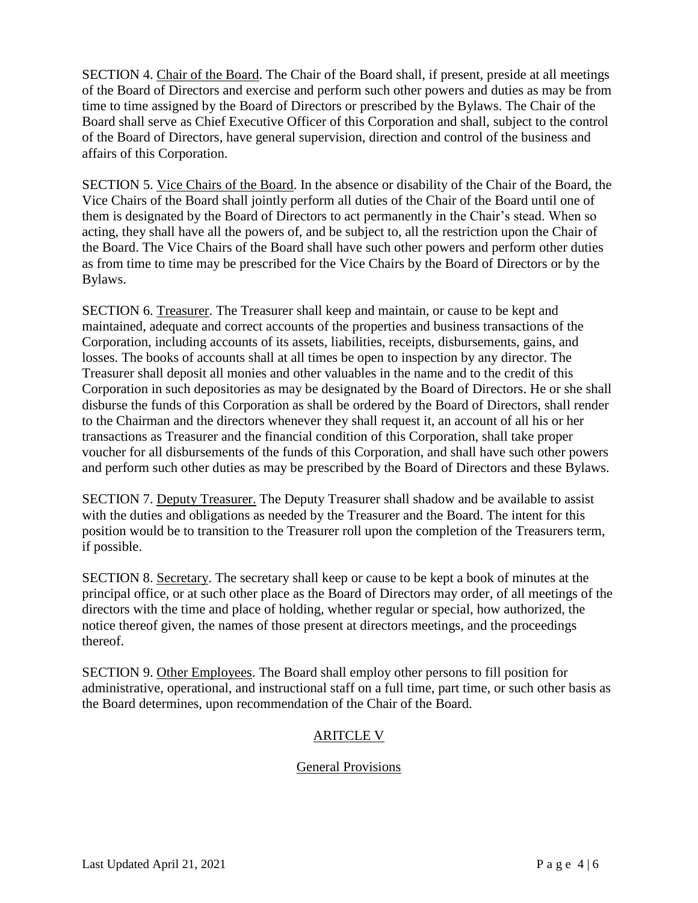SECTION 4. Chair of the Board. The Chair of the Board shall, if present, preside at all meetings of the Board of Directors and exercise and perform such other powers and duties as may be from time to time assigned by the Board of Directors or prescribed by the Bylaws. The Chair of the Board shall serve as Chief Executive Officer of this Corporation and shall, subject to the control of the Board of Directors, have general supervision, direction and control of the business and affairs of this Corporation.

SECTION 5. Vice Chairs of the Board. In the absence or disability of the Chair of the Board, the Vice Chairs of the Board shall jointly perform all duties of the Chair of the Board until one of them is designated by the Board of Directors to act permanently in the Chair's stead. When so acting, they shall have all the powers of, and be subject to, all the restriction upon the Chair of the Board. The Vice Chairs of the Board shall have such other powers and perform other duties as from time to time may be prescribed for the Vice Chairs by the Board of Directors or by the Bylaws.

SECTION 6. Treasurer. The Treasurer shall keep and maintain, or cause to be kept and maintained, adequate and correct accounts of the properties and business transactions of the Corporation, including accounts of its assets, liabilities, receipts, disbursements, gains, and losses. The books of accounts shall at all times be open to inspection by any director. The Treasurer shall deposit all monies and other valuables in the name and to the credit of this Corporation in such depositories as may be designated by the Board of Directors. He or she shall disburse the funds of this Corporation as shall be ordered by the Board of Directors, shall render to the Chairman and the directors whenever they shall request it, an account of all his or her transactions as Treasurer and the financial condition of this Corporation, shall take proper voucher for all disbursements of the funds of this Corporation, and shall have such other powers and perform such other duties as may be prescribed by the Board of Directors and these Bylaws.

SECTION 7. Deputy Treasurer. The Deputy Treasurer shall shadow and be available to assist with the duties and obligations as needed by the Treasurer and the Board. The intent for this position would be to transition to the Treasurer roll upon the completion of the Treasurers term, if possible.

SECTION 8. Secretary. The secretary shall keep or cause to be kept a book of minutes at the principal office, or at such other place as the Board of Directors may order, of all meetings of the directors with the time and place of holding, whether regular or special, how authorized, the notice thereof given, the names of those present at directors meetings, and the proceedings thereof.

SECTION 9. Other Employees. The Board shall employ other persons to fill position for administrative, operational, and instructional staff on a full time, part time, or such other basis as the Board determines, upon recommendation of the Chair of the Board.

## ARITCLE V

## General Provisions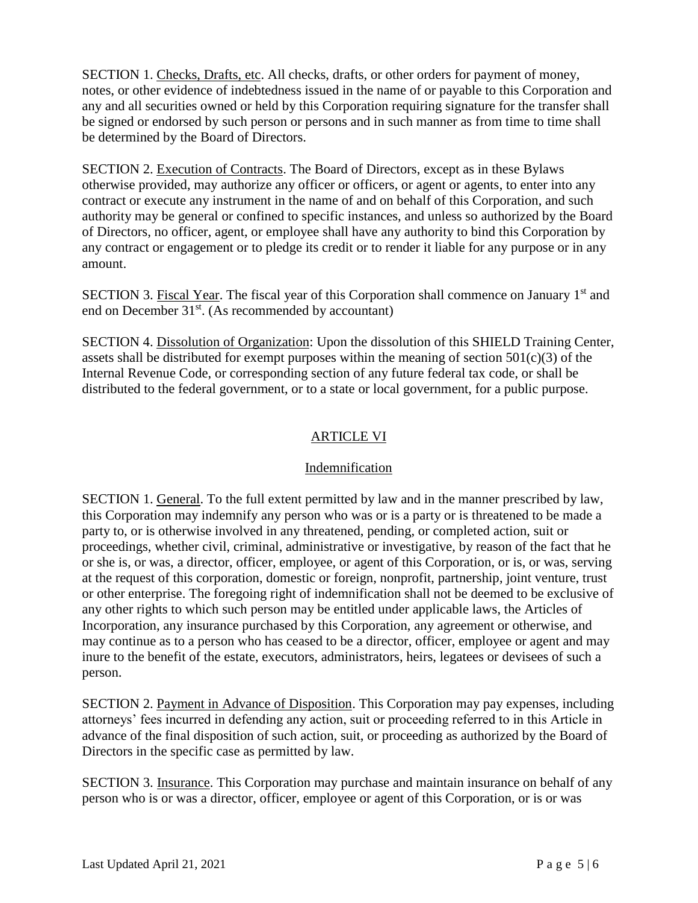SECTION 1. Checks, Drafts, etc. All checks, drafts, or other orders for payment of money, notes, or other evidence of indebtedness issued in the name of or payable to this Corporation and any and all securities owned or held by this Corporation requiring signature for the transfer shall be signed or endorsed by such person or persons and in such manner as from time to time shall be determined by the Board of Directors.

SECTION 2. Execution of Contracts. The Board of Directors, except as in these Bylaws otherwise provided, may authorize any officer or officers, or agent or agents, to enter into any contract or execute any instrument in the name of and on behalf of this Corporation, and such authority may be general or confined to specific instances, and unless so authorized by the Board of Directors, no officer, agent, or employee shall have any authority to bind this Corporation by any contract or engagement or to pledge its credit or to render it liable for any purpose or in any amount.

SECTION 3. Fiscal Year. The fiscal year of this Corporation shall commence on January 1<sup>st</sup> and end on December  $31<sup>st</sup>$ . (As recommended by accountant)

SECTION 4. Dissolution of Organization: Upon the dissolution of this SHIELD Training Center, assets shall be distributed for exempt purposes within the meaning of section  $501(c)(3)$  of the Internal Revenue Code, or corresponding section of any future federal tax code, or shall be distributed to the federal government, or to a state or local government, for a public purpose.

# ARTICLE VI

## Indemnification

SECTION 1. General. To the full extent permitted by law and in the manner prescribed by law, this Corporation may indemnify any person who was or is a party or is threatened to be made a party to, or is otherwise involved in any threatened, pending, or completed action, suit or proceedings, whether civil, criminal, administrative or investigative, by reason of the fact that he or she is, or was, a director, officer, employee, or agent of this Corporation, or is, or was, serving at the request of this corporation, domestic or foreign, nonprofit, partnership, joint venture, trust or other enterprise. The foregoing right of indemnification shall not be deemed to be exclusive of any other rights to which such person may be entitled under applicable laws, the Articles of Incorporation, any insurance purchased by this Corporation, any agreement or otherwise, and may continue as to a person who has ceased to be a director, officer, employee or agent and may inure to the benefit of the estate, executors, administrators, heirs, legatees or devisees of such a person.

SECTION 2. Payment in Advance of Disposition. This Corporation may pay expenses, including attorneys' fees incurred in defending any action, suit or proceeding referred to in this Article in advance of the final disposition of such action, suit, or proceeding as authorized by the Board of Directors in the specific case as permitted by law.

SECTION 3. Insurance. This Corporation may purchase and maintain insurance on behalf of any person who is or was a director, officer, employee or agent of this Corporation, or is or was